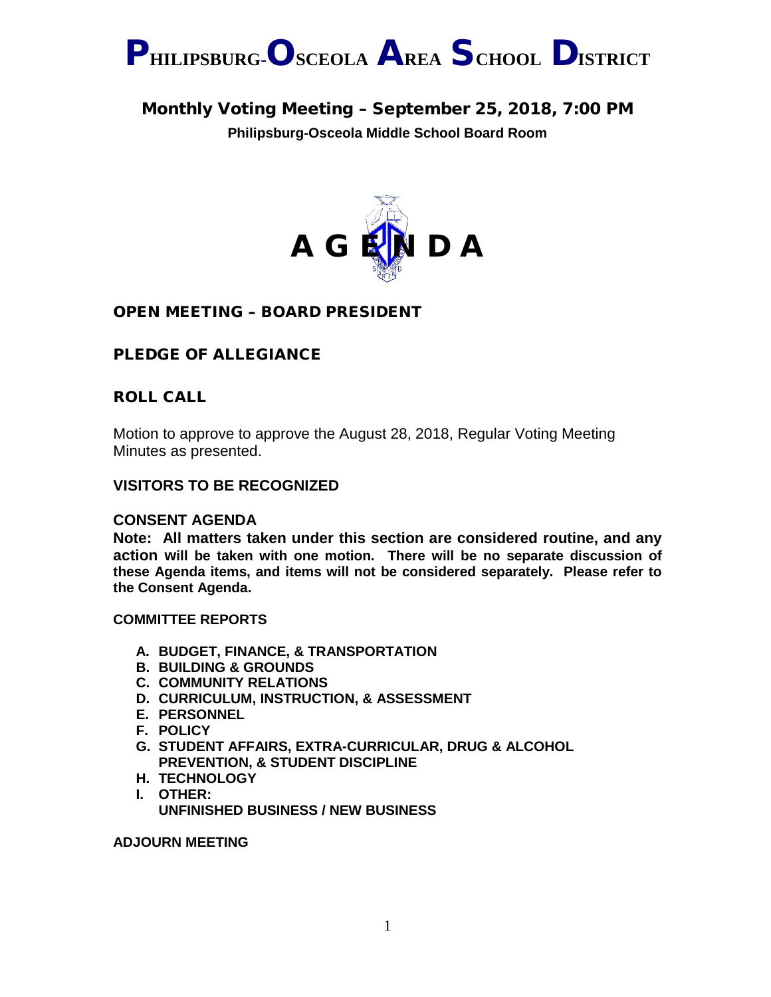

### Monthly Voting Meeting – September 25, 2018, 7:00 PM

**Philipsburg-Osceola Middle School Board Room**



#### OPEN MEETING – BOARD PRESIDENT

#### PLEDGE OF ALLEGIANCE

#### ROLL CALL

Motion to approve to approve the August 28, 2018, Regular Voting Meeting Minutes as presented.

#### **VISITORS TO BE RECOGNIZED**

#### **CONSENT AGENDA**

**Note: All matters taken under this section are considered routine, and any action will be taken with one motion. There will be no separate discussion of these Agenda items, and items will not be considered separately. Please refer to the Consent Agenda.**

#### **COMMITTEE REPORTS**

- **A. BUDGET, FINANCE, & TRANSPORTATION**
- **B. BUILDING & GROUNDS**
- **C. COMMUNITY RELATIONS**
- **D. CURRICULUM, INSTRUCTION, & ASSESSMENT**
- **E. PERSONNEL**
- **F. POLICY**
- **G. STUDENT AFFAIRS, EXTRA-CURRICULAR, DRUG & ALCOHOL PREVENTION, & STUDENT DISCIPLINE**
- **H. TECHNOLOGY**
- **I. OTHER: UNFINISHED BUSINESS / NEW BUSINESS**

#### **ADJOURN MEETING**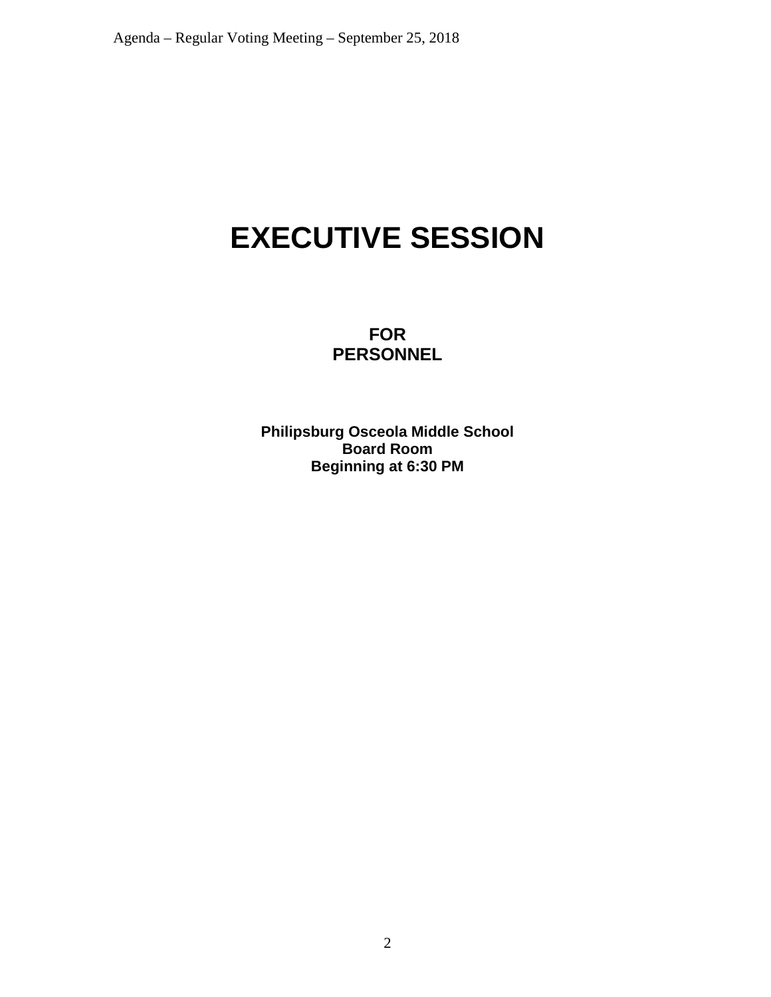# **EXECUTIVE SESSION**

**FOR PERSONNEL**

**Philipsburg Osceola Middle School Board Room Beginning at 6:30 PM**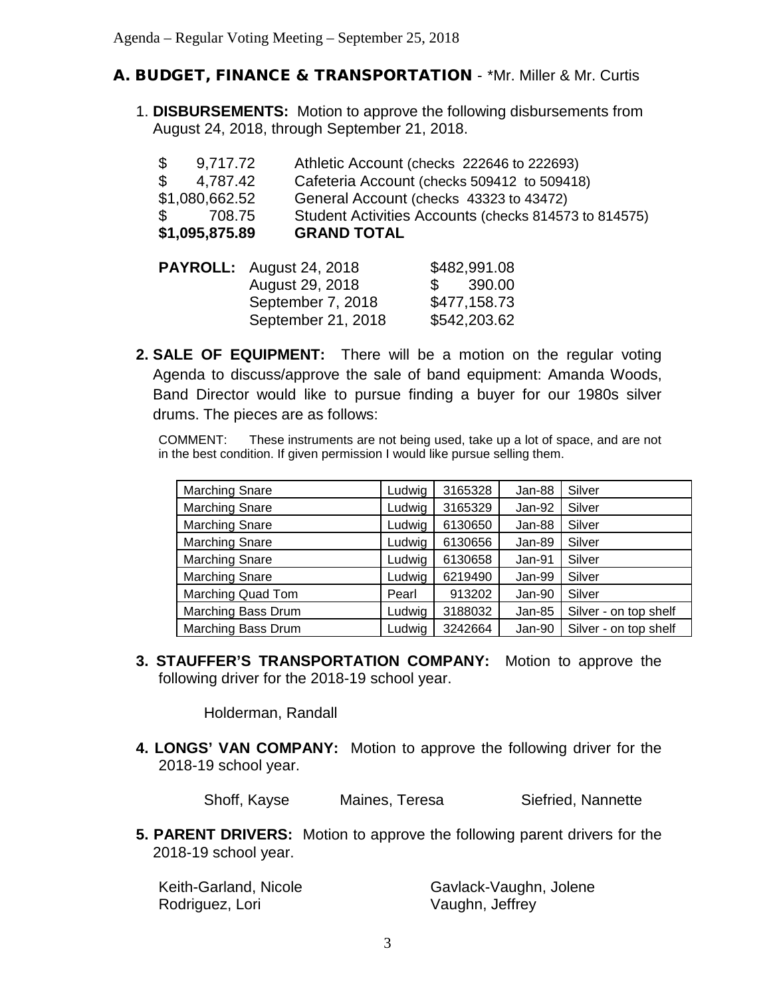#### A. BUDGET, FINANCE & TRANSPORTATION - \*Mr. Miller & Mr. Curtis

1. **DISBURSEMENTS:** Motion to approve the following disbursements from August 24, 2018, through September 21, 2018.

| $\mathbb{S}^-$ | 9,717.72                        |                    |                | Athletic Account (checks 222646 to 222693)            |  |
|----------------|---------------------------------|--------------------|----------------|-------------------------------------------------------|--|
| $\mathbb{S}$   | 4,787.42                        |                    |                | Cafeteria Account (checks 509412 to 509418)           |  |
|                | \$1,080,662.52                  |                    |                | General Account (checks 43323 to 43472)               |  |
| $\mathbb{S}^-$ | 708.75                          |                    |                | Student Activities Accounts (checks 814573 to 814575) |  |
|                | \$1,095,875.89                  | <b>GRAND TOTAL</b> |                |                                                       |  |
|                | <b>PAYROLL:</b> August 24, 2018 |                    |                | \$482,991.08                                          |  |
|                |                                 | August 29, 2018    | $\mathbb{S}^-$ | 390.00                                                |  |

**2. SALE OF EQUIPMENT:** There will be a motion on the regular voting Agenda to discuss/approve the sale of band equipment: Amanda Woods, Band Director would like to pursue finding a buyer for our 1980s silver drums. The pieces are as follows:

September 7, 2018 \$477,158.73 September 21, 2018 \$542,203.62

COMMENT: These instruments are not being used, take up a lot of space, and are not in the best condition. If given permission I would like pursue selling them.

| <b>Marching Snare</b> | Ludwig | 3165328 | Jan-88   | Silver                |
|-----------------------|--------|---------|----------|-----------------------|
| <b>Marching Snare</b> | Ludwig | 3165329 | Jan-92   | Silver                |
| <b>Marching Snare</b> | Ludwig | 6130650 | Jan-88   | Silver                |
| <b>Marching Snare</b> | Ludwig | 6130656 | Jan-89   | Silver                |
| <b>Marching Snare</b> | Ludwig | 6130658 | Jan-91   | Silver                |
| <b>Marching Snare</b> | Ludwig | 6219490 | Jan-99   | Silver                |
| Marching Quad Tom     | Pearl  | 913202  | Jan-90   | Silver                |
| Marching Bass Drum    | Ludwig | 3188032 | $Jan-85$ | Silver - on top shelf |
| Marching Bass Drum    | Ludwig | 3242664 | Jan-90   | Silver - on top shelf |

**3. STAUFFER'S TRANSPORTATION COMPANY:** Motion to approve the following driver for the 2018-19 school year.

Holderman, Randall

**4. LONGS' VAN COMPANY:** Motion to approve the following driver for the 2018-19 school year.

Shoff, Kayse Maines, Teresa Siefried, Nannette

**5. PARENT DRIVERS:** Motion to approve the following parent drivers for the 2018-19 school year.

| Keith-Garland, Nicole | Gavlack-Vaughn, Jolene |
|-----------------------|------------------------|
| Rodriguez, Lori       | Vaughn, Jeffrey        |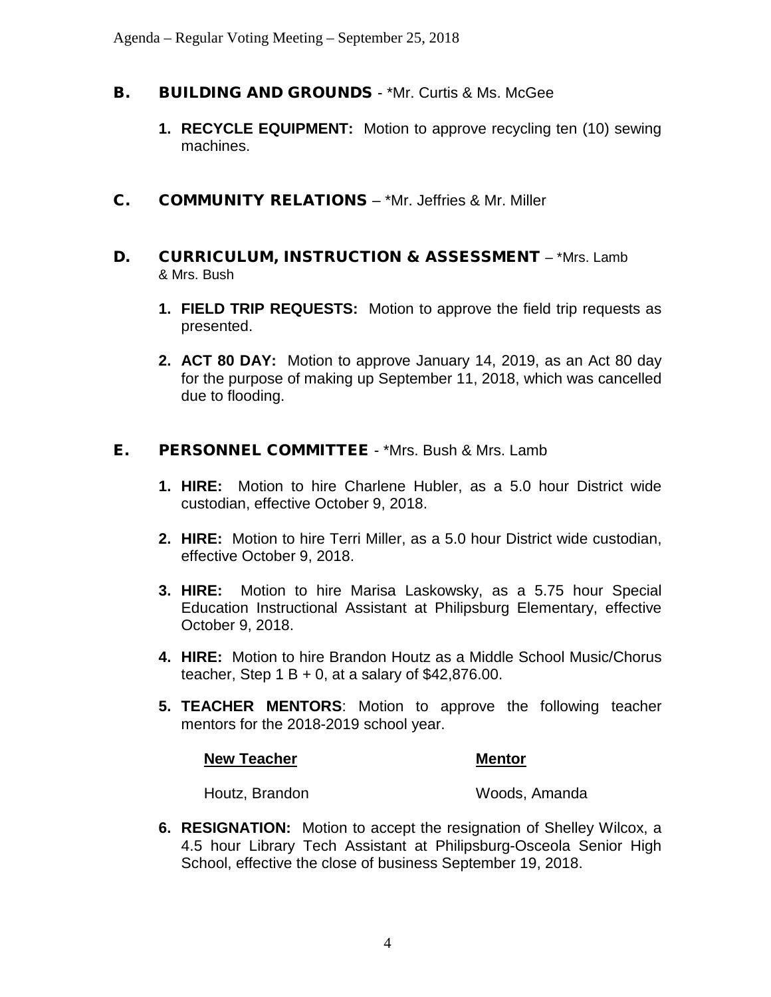- **B.** BUILDING AND GROUNDS \*Mr. Curtis & Ms. McGee
	- **1. RECYCLE EQUIPMENT:** Motion to approve recycling ten (10) sewing machines.
- C. COMMUNITY RELATIONS \*Mr. Jeffries & Mr. Miller
- D. CURRICULUM, INSTRUCTION & ASSESSMENT \*Mrs. Lamb & Mrs. Bush
	- **1. FIELD TRIP REQUESTS:** Motion to approve the field trip requests as presented.
	- **2. ACT 80 DAY:** Motion to approve January 14, 2019, as an Act 80 day for the purpose of making up September 11, 2018, which was cancelled due to flooding.

#### E. PERSONNEL COMMITTEE - \*Mrs. Bush & Mrs. Lamb

- **1. HIRE:** Motion to hire Charlene Hubler, as a 5.0 hour District wide custodian, effective October 9, 2018.
- **2. HIRE:** Motion to hire Terri Miller, as a 5.0 hour District wide custodian, effective October 9, 2018.
- **3. HIRE:** Motion to hire Marisa Laskowsky, as a 5.75 hour Special Education Instructional Assistant at Philipsburg Elementary, effective October 9, 2018.
- **4. HIRE:** Motion to hire Brandon Houtz as a Middle School Music/Chorus teacher, Step  $1 B + 0$ , at a salary of \$42,876.00.
- **5. TEACHER MENTORS**: Motion to approve the following teacher mentors for the 2018-2019 school year.

#### **New Teacher Mentor Mentor**

Houtz, Brandon Woods, Amanda

**6. RESIGNATION:** Motion to accept the resignation of Shelley Wilcox, a 4.5 hour Library Tech Assistant at Philipsburg-Osceola Senior High School, effective the close of business September 19, 2018.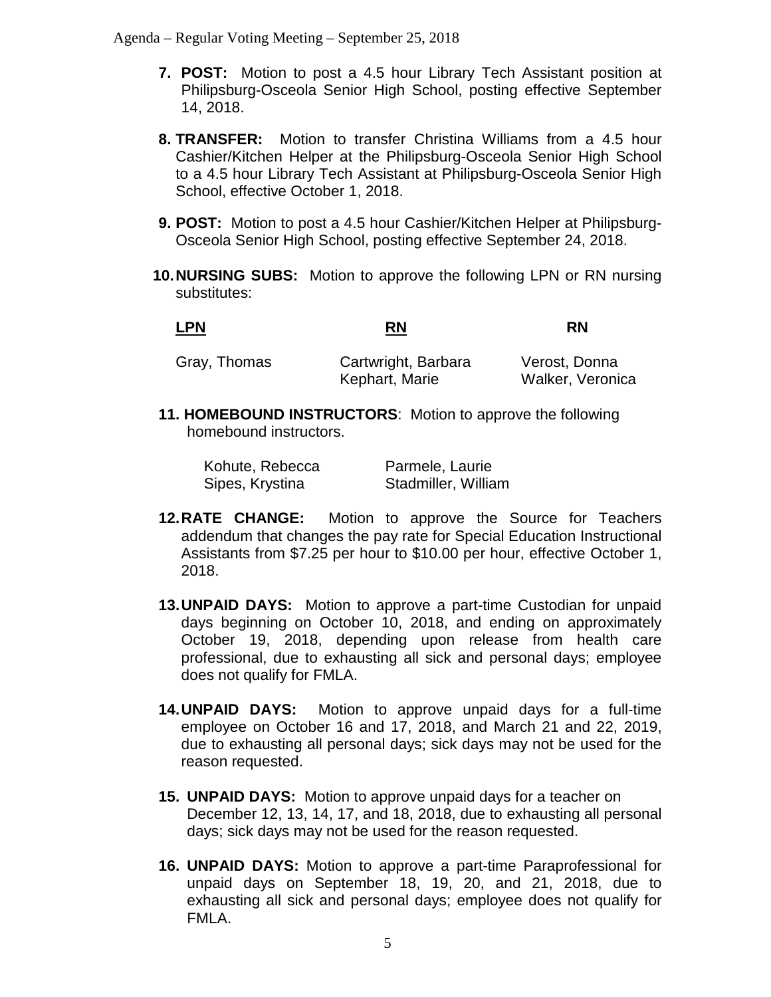Agenda – Regular Voting Meeting – September 25, 2018

- **7. POST:** Motion to post a 4.5 hour Library Tech Assistant position at Philipsburg-Osceola Senior High School, posting effective September 14, 2018.
- **8. TRANSFER:** Motion to transfer Christina Williams from a 4.5 hour Cashier/Kitchen Helper at the Philipsburg-Osceola Senior High School to a 4.5 hour Library Tech Assistant at Philipsburg-Osceola Senior High School, effective October 1, 2018.
- **9. POST:** Motion to post a 4.5 hour Cashier/Kitchen Helper at Philipsburg-Osceola Senior High School, posting effective September 24, 2018.
- **10.NURSING SUBS:** Motion to approve the following LPN or RN nursing substitutes:

| <b>LPN</b>   | RN                  | RN            |
|--------------|---------------------|---------------|
| Gray, Thomas | Cartwright, Barbara | Verost, Donna |

Kephart, Marie Walker, Veronica

**11. HOMEBOUND INSTRUCTORS**: Motion to approve the following homebound instructors.

| Kohute, Rebecca | Parmele, Laurie     |
|-----------------|---------------------|
| Sipes, Krystina | Stadmiller, William |

- **12.RATE CHANGE:** Motion to approve the Source for Teachers addendum that changes the pay rate for Special Education Instructional Assistants from \$7.25 per hour to \$10.00 per hour, effective October 1, 2018.
- **13.UNPAID DAYS:** Motion to approve a part-time Custodian for unpaid days beginning on October 10, 2018, and ending on approximately October 19, 2018, depending upon release from health care professional, due to exhausting all sick and personal days; employee does not qualify for FMLA.
- **14.UNPAID DAYS:** Motion to approve unpaid days for a full-time employee on October 16 and 17, 2018, and March 21 and 22, 2019, due to exhausting all personal days; sick days may not be used for the reason requested.
- **15. UNPAID DAYS:** Motion to approve unpaid days for a teacher on December 12, 13, 14, 17, and 18, 2018, due to exhausting all personal days; sick days may not be used for the reason requested.
- **16. UNPAID DAYS:** Motion to approve a part-time Paraprofessional for unpaid days on September 18, 19, 20, and 21, 2018, due to exhausting all sick and personal days; employee does not qualify for FMLA.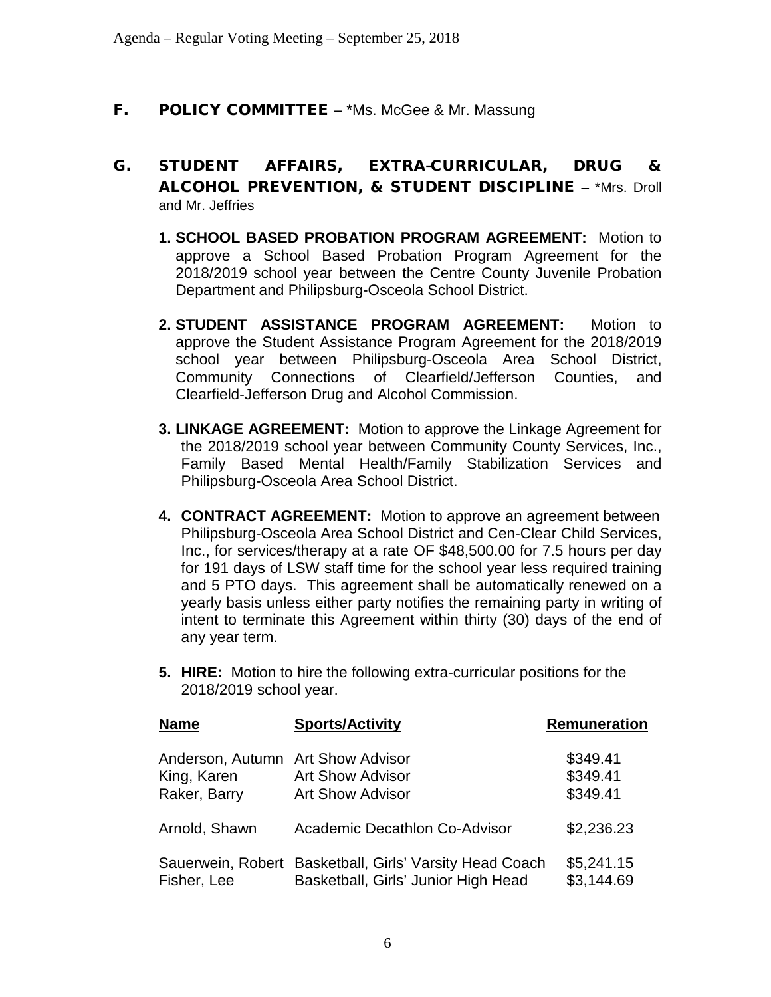#### **F.** POLICY COMMITTEE – \*Ms. McGee & Mr. Massung

- G. STUDENT AFFAIRS, EXTRA-CURRICULAR, DRUG & ALCOHOL PREVENTION, & STUDENT DISCIPLINE – \*Mrs. Droll and Mr. Jeffries
	- **1. SCHOOL BASED PROBATION PROGRAM AGREEMENT:** Motion to approve a School Based Probation Program Agreement for the 2018/2019 school year between the Centre County Juvenile Probation Department and Philipsburg-Osceola School District.
	- **2. STUDENT ASSISTANCE PROGRAM AGREEMENT:** Motion to approve the Student Assistance Program Agreement for the 2018/2019 school year between Philipsburg-Osceola Area School District, Community Connections of Clearfield/Jefferson Counties, and Clearfield-Jefferson Drug and Alcohol Commission.
	- **3. LINKAGE AGREEMENT:** Motion to approve the Linkage Agreement for the 2018/2019 school year between Community County Services, Inc., Family Based Mental Health/Family Stabilization Services and Philipsburg-Osceola Area School District.
	- **4. CONTRACT AGREEMENT:** Motion to approve an agreement between Philipsburg-Osceola Area School District and Cen-Clear Child Services, Inc., for services/therapy at a rate OF \$48,500.00 for 7.5 hours per day for 191 days of LSW staff time for the school year less required training and 5 PTO days. This agreement shall be automatically renewed on a yearly basis unless either party notifies the remaining party in writing of intent to terminate this Agreement within thirty (30) days of the end of any year term.
	- **5. HIRE:** Motion to hire the following extra-curricular positions for the 2018/2019 school year.

| <b>Name</b>                                                      | <b>Sports/Activity</b>                                                                         | Remuneration                     |
|------------------------------------------------------------------|------------------------------------------------------------------------------------------------|----------------------------------|
| Anderson, Autumn Art Show Advisor<br>King, Karen<br>Raker, Barry | <b>Art Show Advisor</b><br><b>Art Show Advisor</b>                                             | \$349.41<br>\$349.41<br>\$349.41 |
| Arnold, Shawn                                                    | Academic Decathlon Co-Advisor                                                                  | \$2,236.23                       |
| Fisher, Lee                                                      | Sauerwein, Robert Basketball, Girls' Varsity Head Coach<br>Basketball, Girls' Junior High Head | \$5,241.15<br>\$3,144.69         |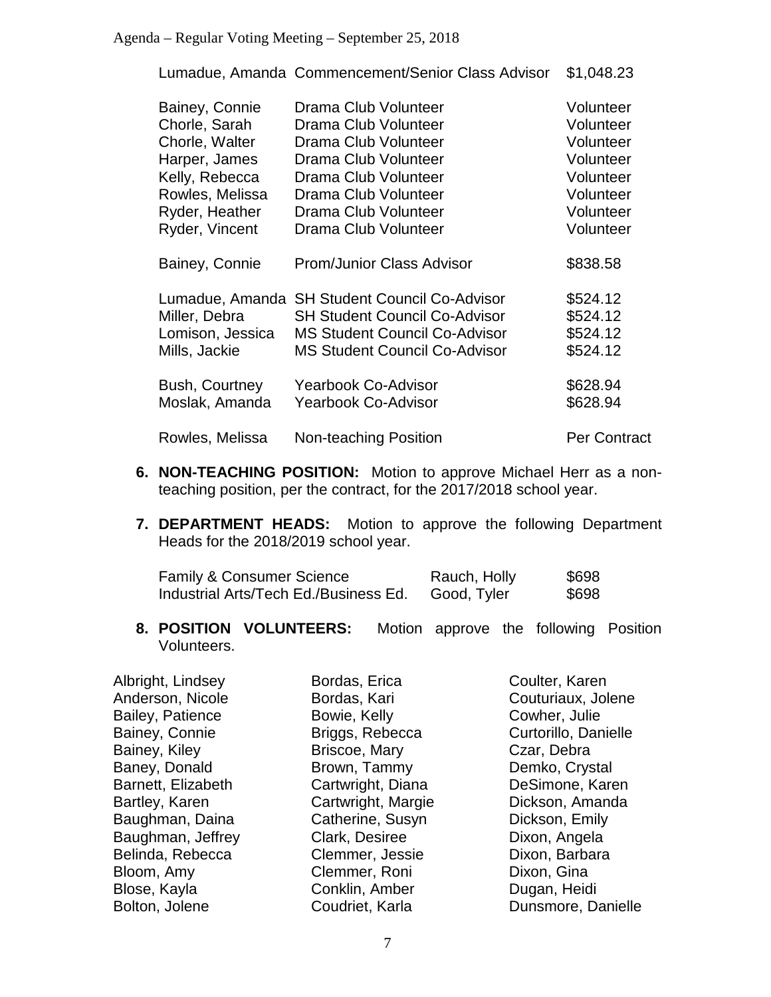#### Agenda – Regular Voting Meeting – September 25, 2018

Lumadue, Amanda Commencement/Senior Class Advisor \$1,048.23

| Bainey, Connie   | Drama Club Volunteer                 | Volunteer           |
|------------------|--------------------------------------|---------------------|
| Chorle, Sarah    | Drama Club Volunteer                 | Volunteer           |
| Chorle, Walter   | Drama Club Volunteer                 | Volunteer           |
| Harper, James    | Drama Club Volunteer                 | Volunteer           |
| Kelly, Rebecca   | Drama Club Volunteer                 | Volunteer           |
| Rowles, Melissa  | Drama Club Volunteer                 | Volunteer           |
| Ryder, Heather   | Drama Club Volunteer                 | Volunteer           |
| Ryder, Vincent   | Drama Club Volunteer                 | Volunteer           |
| Bainey, Connie   | <b>Prom/Junior Class Advisor</b>     | \$838.58            |
| Lumadue, Amanda  | <b>SH Student Council Co-Advisor</b> | \$524.12            |
| Miller, Debra    | <b>SH Student Council Co-Advisor</b> | \$524.12            |
| Lomison, Jessica | <b>MS Student Council Co-Advisor</b> | \$524.12            |
| Mills, Jackie    | <b>MS Student Council Co-Advisor</b> | \$524.12            |
| Bush, Courtney   | Yearbook Co-Advisor                  | \$628.94            |
| Moslak, Amanda   | <b>Yearbook Co-Advisor</b>           | \$628.94            |
| Rowles, Melissa  | Non-teaching Position                | <b>Per Contract</b> |

- **6. NON-TEACHING POSITION:** Motion to approve Michael Herr as a nonteaching position, per the contract, for the 2017/2018 school year.
- **7. DEPARTMENT HEADS:** Motion to approve the following Department Heads for the 2018/2019 school year.

| <b>Family &amp; Consumer Science</b>  | Rauch, Holly | \$698 |
|---------------------------------------|--------------|-------|
| Industrial Arts/Tech Ed./Business Ed. | Good, Tyler  | \$698 |

**8. POSITION VOLUNTEERS:** Motion approve the following Position Volunteers.

| Albright, Lindsey  | Bordas, Erica      | Coulter, Karen       |
|--------------------|--------------------|----------------------|
| Anderson, Nicole   | Bordas, Kari       | Couturiaux, Jolene   |
| Bailey, Patience   | Bowie, Kelly       | Cowher, Julie        |
| Bainey, Connie     | Briggs, Rebecca    | Curtorillo, Danielle |
| Bainey, Kiley      | Briscoe, Mary      | Czar, Debra          |
| Baney, Donald      | Brown, Tammy       | Demko, Crystal       |
| Barnett, Elizabeth | Cartwright, Diana  | DeSimone, Karen      |
| Bartley, Karen     | Cartwright, Margie | Dickson, Amanda      |
| Baughman, Daina    | Catherine, Susyn   | Dickson, Emily       |
| Baughman, Jeffrey  | Clark, Desiree     | Dixon, Angela        |
| Belinda, Rebecca   | Clemmer, Jessie    | Dixon, Barbara       |
| Bloom, Amy         | Clemmer, Roni      | Dixon, Gina          |
| Blose, Kayla       | Conklin, Amber     | Dugan, Heidi         |
| Bolton, Jolene     | Coudriet, Karla    | Dunsmore, Danielle   |
|                    |                    |                      |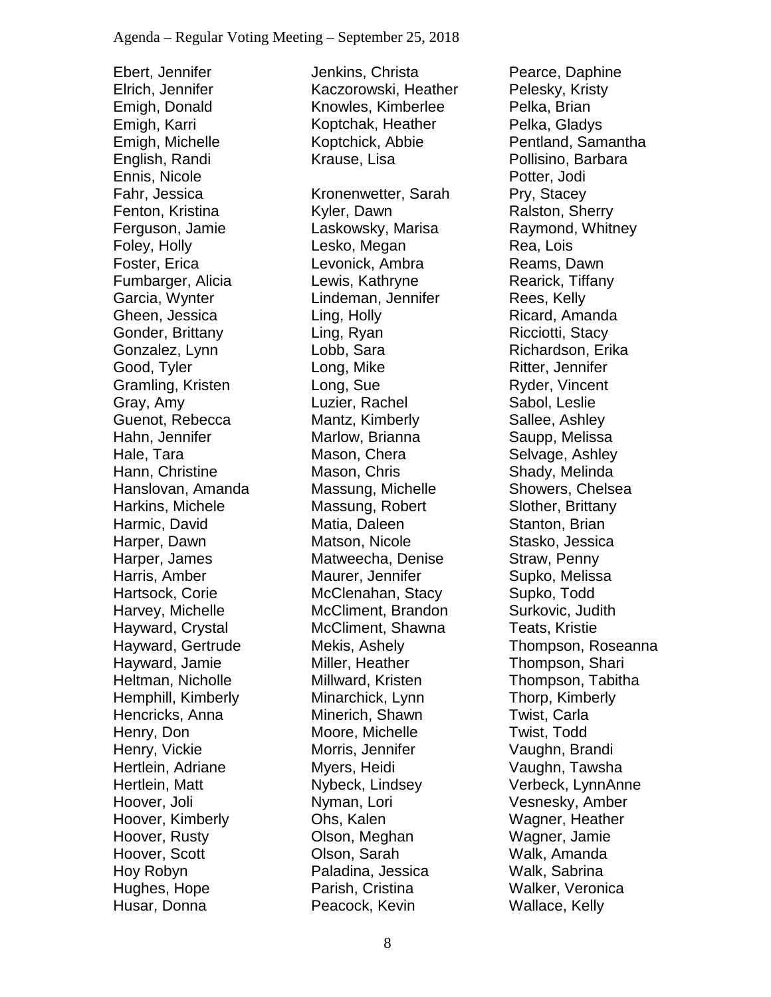Ebert, Jennifer Elrich, Jennifer Emigh, Donald Emigh, Karri Emigh, Michelle English, Randi Ennis, Nicole Fahr, Jessica Fenton, Kristina Ferguson, Jamie Foley, Holly Foster, Erica Fumbarger, Alicia Garcia, Wynter Gheen, Jessica Gonder, Brittany Gonzalez, Lynn Good, Tyler Gramling, Kristen Gray, Amy Guenot, Rebecca Hahn, Jennifer Hale, Tara Hann, Christine Hanslovan, Amanda Harkins, Michele Harmic, David Harper, Dawn Harper, James Harris, Amber Hartsock, Corie Harvey, Michelle Hayward, Crystal Hayward, Gertrude Hayward, Jamie Heltman, Nicholle Hemphill, Kimberly Hencricks, Anna Henry, Don Henry, Vickie Hertlein, Adriane Hertlein, Matt Hoover, Joli Hoover, Kimberly Hoover, Rusty Hoover, Scott Hoy Robyn Hughes, Hope Husar, Donna

Jenkins, Christa Kaczorowski, Heather Knowles, Kimberlee Koptchak, Heather Koptchick, Abbie Krause, Lisa Kronenwetter, Sarah Kyler, Dawn Laskowsky, Marisa Lesko, Megan Levonick, Ambra Lewis, Kathryne Lindeman, Jennifer Ling, Holly Ling, Ryan Lobb, Sara Long, Mike Long, Sue Luzier, Rachel Mantz, Kimberly Marlow, Brianna Mason, Chera Mason, Chris Massung, Michelle Massung, Robert Matia, Daleen Matson, Nicole Matweecha, Denise Maurer, Jennifer McClenahan, Stacy McCliment, Brandon McCliment, Shawna Mekis, Ashely Miller, Heather Millward, Kristen Minarchick, Lynn Minerich, Shawn Moore, Michelle Morris, Jennifer Myers, Heidi Nybeck, Lindsey Nyman, Lori Ohs, Kalen Olson, Meghan Olson, Sarah Paladina, Jessica Parish, Cristina Peacock, Kevin

Pearce, Daphine Pelesky, Kristy Pelka, Brian Pelka, Gladys Pentland, Samantha Pollisino, Barbara Potter, Jodi Pry, Stacey Ralston, Sherry Raymond, Whitney Rea, Lois Reams, Dawn Rearick, Tiffany Rees, Kelly Ricard, Amanda Ricciotti, Stacy Richardson, Erika Ritter, Jennifer Ryder, Vincent Sabol, Leslie Sallee, Ashley Saupp, Melissa Selvage, Ashley Shady, Melinda Showers, Chelsea Slother, Brittany Stanton, Brian Stasko, Jessica Straw, Penny Supko, Melissa Supko, Todd Surkovic, Judith Teats, Kristie Thompson, Roseanna Thompson, Shari Thompson, Tabitha Thorp, Kimberly Twist, Carla Twist, Todd Vaughn, Brandi Vaughn, Tawsha Verbeck, LynnAnne Vesnesky, Amber Wagner, Heather Wagner, Jamie Walk, Amanda Walk, Sabrina Walker, Veronica Wallace, Kelly